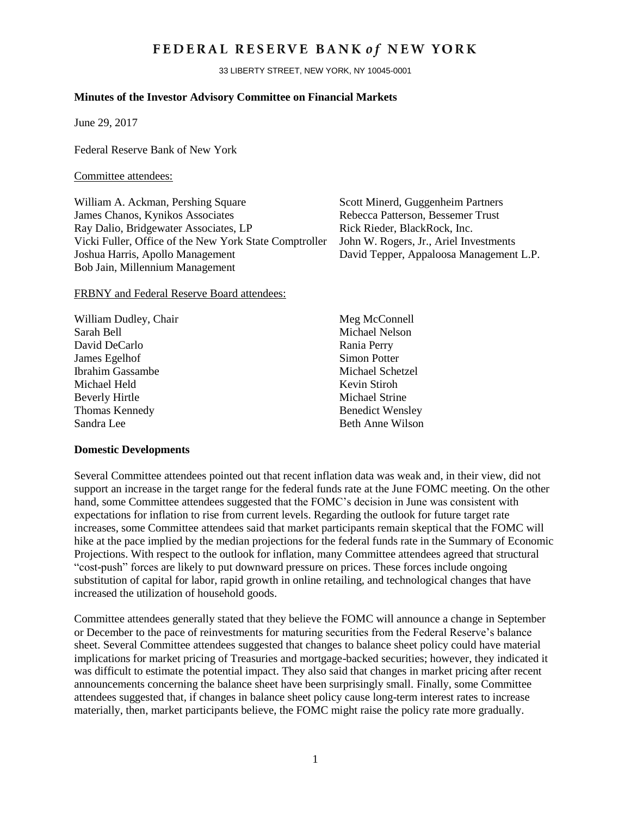# FEDERAL RESERVE BANK of NEW YORK

33 LIBERTY STREET, NEW YORK, NY 10045-0001

## **Minutes of the Investor Advisory Committee on Financial Markets**

June 29, 2017

Federal Reserve Bank of New York

#### Committee attendees:

William A. Ackman, Pershing Square Scott Minerd, Guggenheim Partners James Chanos, Kynikos Associates Rebecca Patterson, Bessemer Trust Ray Dalio, Bridgewater Associates, LP Rick Rieder, BlackRock, Inc. Vicki Fuller, Office of the New York State Comptroller John W. Rogers, Jr., Ariel Investments Joshua Harris, Apollo Management David Tepper, Appaloosa Management L.P. Bob Jain, Millennium Management

#### FRBNY and Federal Reserve Board attendees:

| William Dudley, Chair   | Meg McConnell           |
|-------------------------|-------------------------|
| Sarah Bell              | Michael Nelson          |
| David DeCarlo           | Rania Perry             |
| James Egelhof           | <b>Simon Potter</b>     |
| <b>Ibrahim Gassambe</b> | Michael Schetzel        |
| Michael Held            | Kevin Stiroh            |
| <b>Beverly Hirtle</b>   | Michael Strine          |
| Thomas Kennedy          | <b>Benedict Wensley</b> |
| Sandra Lee              | <b>Beth Anne Wilson</b> |
|                         |                         |

#### **Domestic Developments**

Several Committee attendees pointed out that recent inflation data was weak and, in their view, did not support an increase in the target range for the federal funds rate at the June FOMC meeting. On the other hand, some Committee attendees suggested that the FOMC's decision in June was consistent with expectations for inflation to rise from current levels. Regarding the outlook for future target rate increases, some Committee attendees said that market participants remain skeptical that the FOMC will hike at the pace implied by the median projections for the federal funds rate in the Summary of Economic Projections. With respect to the outlook for inflation, many Committee attendees agreed that structural "cost-push" forces are likely to put downward pressure on prices. These forces include ongoing substitution of capital for labor, rapid growth in online retailing, and technological changes that have increased the utilization of household goods.

Committee attendees generally stated that they believe the FOMC will announce a change in September or December to the pace of reinvestments for maturing securities from the Federal Reserve's balance sheet. Several Committee attendees suggested that changes to balance sheet policy could have material implications for market pricing of Treasuries and mortgage-backed securities; however, they indicated it was difficult to estimate the potential impact. They also said that changes in market pricing after recent announcements concerning the balance sheet have been surprisingly small. Finally, some Committee attendees suggested that, if changes in balance sheet policy cause long-term interest rates to increase materially, then, market participants believe, the FOMC might raise the policy rate more gradually.